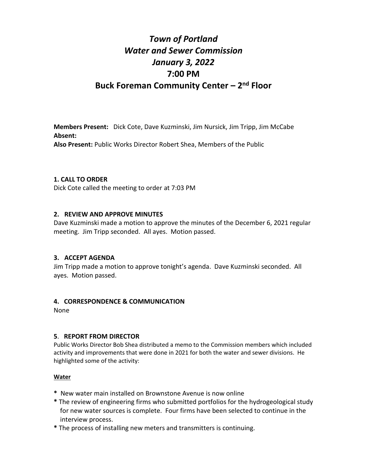## *Town of Portland Water and Sewer Commission January 3, 2022* **7:00 PM Buck Foreman Community Center – 2 nd Floor**

**Members Present:** Dick Cote, Dave Kuzminski, Jim Nursick, Jim Tripp, Jim McCabe **Absent: Also Present:** Public Works Director Robert Shea, Members of the Public

## **1. CALL TO ORDER**

Dick Cote called the meeting to order at 7:03 PM

## **2. REVIEW AND APPROVE MINUTES**

Dave Kuzminski made a motion to approve the minutes of the December 6, 2021 regular meeting. Jim Tripp seconded. All ayes. Motion passed.

## **3. ACCEPT AGENDA**

Jim Tripp made a motion to approve tonight's agenda. Dave Kuzminski seconded. All ayes. Motion passed.

## **4. CORRESPONDENCE & COMMUNICATION**

None

## **5**. **REPORT FROM DIRECTOR**

Public Works Director Bob Shea distributed a memo to the Commission members which included activity and improvements that were done in 2021 for both the water and sewer divisions. He highlighted some of the activity:

## **Water**

- **\*** New water main installed on Brownstone Avenue is now online
- **\*** The review of engineering firms who submitted portfolios for the hydrogeological study for new water sources is complete. Four firms have been selected to continue in the interview process.
- **\*** The process of installing new meters and transmitters is continuing.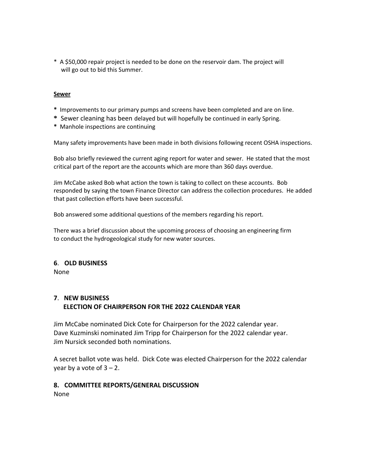\* A \$50,000 repair project is needed to be done on the reservoir dam. The project will will go out to bid this Summer.

#### **Sewer**

- **\*** Improvements to our primary pumps and screens have been completed and are on line.
- **\*** Sewer cleaning has been delayed but will hopefully be continued in early Spring.
- **\*** Manhole inspections are continuing

Many safety improvements have been made in both divisions following recent OSHA inspections.

Bob also briefly reviewed the current aging report for water and sewer. He stated that the most critical part of the report are the accounts which are more than 360 days overdue.

Jim McCabe asked Bob what action the town is taking to collect on these accounts. Bob responded by saying the town Finance Director can address the collection procedures. He added that past collection efforts have been successful.

Bob answered some additional questions of the members regarding his report.

There was a brief discussion about the upcoming process of choosing an engineering firm to conduct the hydrogeological study for new water sources.

#### **6**. **OLD BUSINESS**

None

## **7**. **NEW BUSINESS ELECTION OF CHAIRPERSON FOR THE 2022 CALENDAR YEAR**

Jim McCabe nominated Dick Cote for Chairperson for the 2022 calendar year. Dave Kuzminski nominated Jim Tripp for Chairperson for the 2022 calendar year. Jim Nursick seconded both nominations.

A secret ballot vote was held. Dick Cote was elected Chairperson for the 2022 calendar year by a vote of  $3 - 2$ .

# **8. COMMITTEE REPORTS/GENERAL DISCUSSION**

None